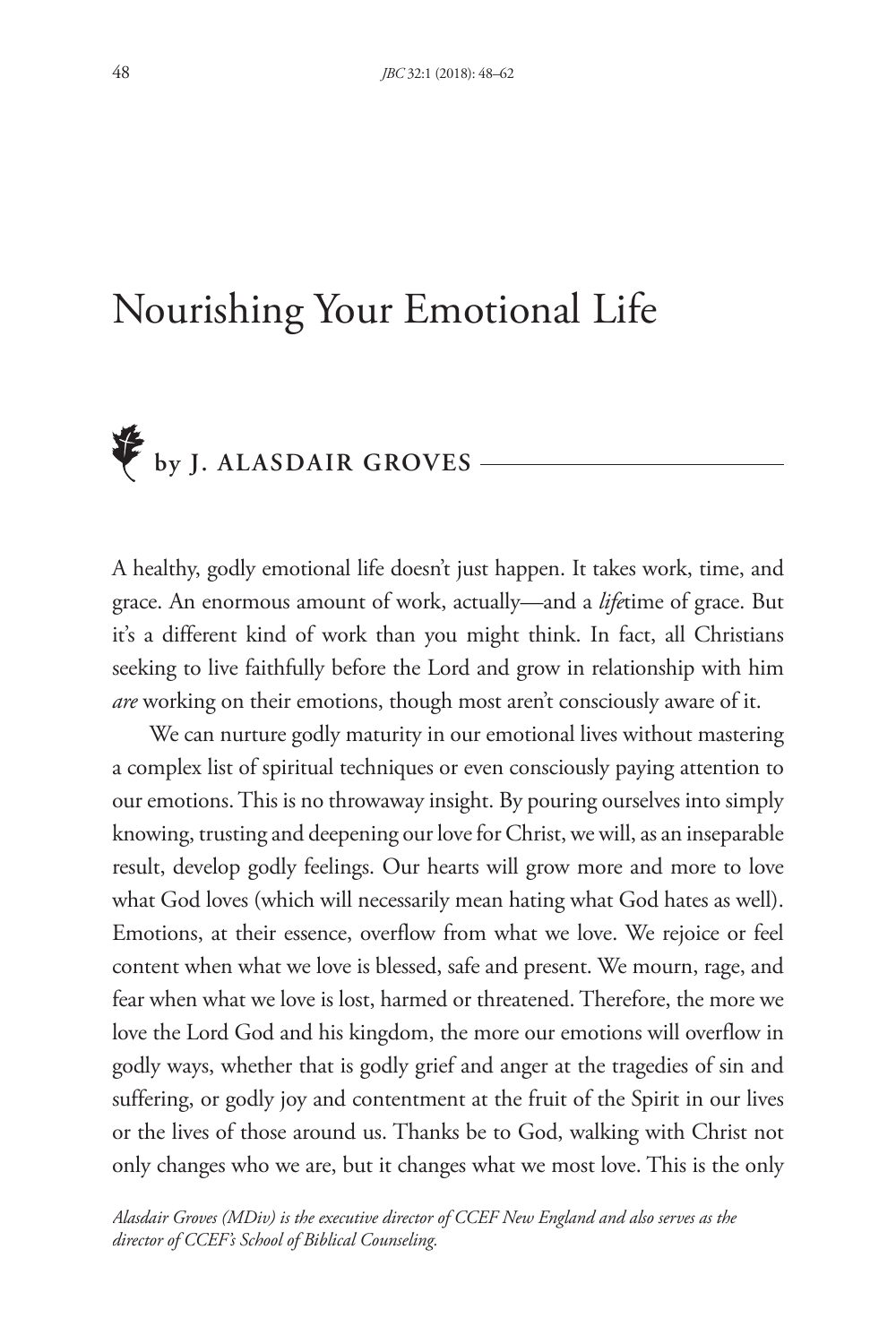## Nourishing Your Emotional Life

## **by J. ALASDAIR GROVES**

A healthy, godly emotional life doesn't just happen. It takes work, time, and grace. An enormous amount of work, actually—and a *life*time of grace. But it's a different kind of work than you might think. In fact, all Christians seeking to live faithfully before the Lord and grow in relationship with him *are* working on their emotions, though most aren't consciously aware of it.

We can nurture godly maturity in our emotional lives without mastering a complex list of spiritual techniques or even consciously paying attention to our emotions. This is no throwaway insight. By pouring ourselves into simply knowing, trusting and deepening our love for Christ, we will, as an inseparable result, develop godly feelings. Our hearts will grow more and more to love what God loves (which will necessarily mean hating what God hates as well). Emotions, at their essence, overflow from what we love. We rejoice or feel content when what we love is blessed, safe and present. We mourn, rage, and fear when what we love is lost, harmed or threatened. Therefore, the more we love the Lord God and his kingdom, the more our emotions will overflow in godly ways, whether that is godly grief and anger at the tragedies of sin and suffering, or godly joy and contentment at the fruit of the Spirit in our lives or the lives of those around us. Thanks be to God, walking with Christ not only changes who we are, but it changes what we most love. This is the only

*Alasdair Groves (MDiv) is the executive director of CCEF New England and also serves as the director of CCEF's School of Biblical Counseling.*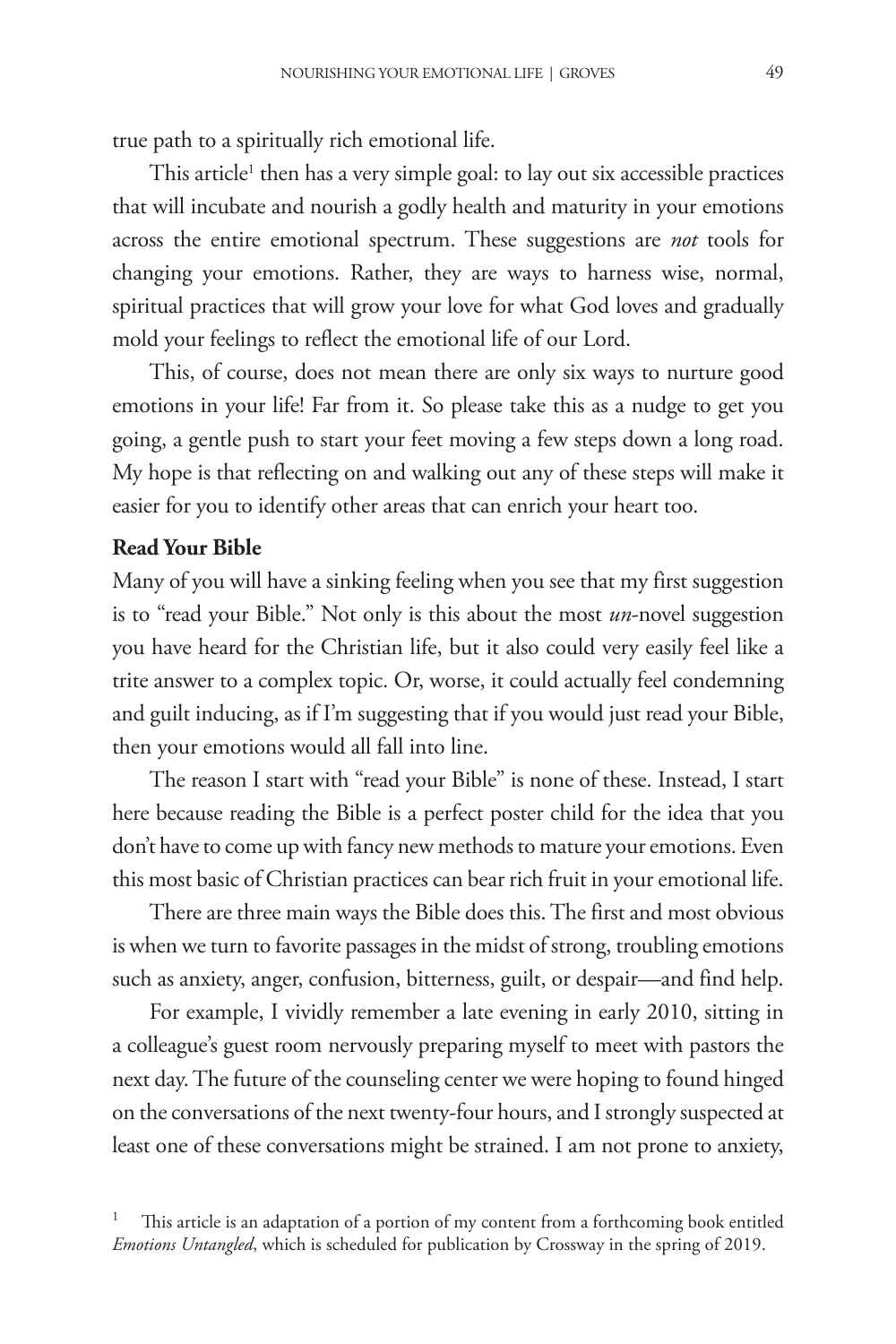true path to a spiritually rich emotional life.

This article<sup>1</sup> then has a very simple goal: to lay out six accessible practices that will incubate and nourish a godly health and maturity in your emotions across the entire emotional spectrum. These suggestions are *not* tools for changing your emotions. Rather, they are ways to harness wise, normal, spiritual practices that will grow your love for what God loves and gradually mold your feelings to reflect the emotional life of our Lord.

This, of course, does not mean there are only six ways to nurture good emotions in your life! Far from it. So please take this as a nudge to get you going, a gentle push to start your feet moving a few steps down a long road. My hope is that reflecting on and walking out any of these steps will make it easier for you to identify other areas that can enrich your heart too.

## **Read Your Bible**

Many of you will have a sinking feeling when you see that my first suggestion is to "read your Bible." Not only is this about the most *un*-novel suggestion you have heard for the Christian life, but it also could very easily feel like a trite answer to a complex topic. Or, worse, it could actually feel condemning and guilt inducing, as if I'm suggesting that if you would just read your Bible, then your emotions would all fall into line.

The reason I start with "read your Bible" is none of these. Instead, I start here because reading the Bible is a perfect poster child for the idea that you don't have to come up with fancy new methods to mature your emotions. Even this most basic of Christian practices can bear rich fruit in your emotional life.

There are three main ways the Bible does this. The first and most obvious is when we turn to favorite passages in the midst of strong, troubling emotions such as anxiety, anger, confusion, bitterness, guilt, or despair—and find help.

For example, I vividly remember a late evening in early 2010, sitting in a colleague's guest room nervously preparing myself to meet with pastors the next day. The future of the counseling center we were hoping to found hinged on the conversations of the next twenty-four hours, and I strongly suspected at least one of these conversations might be strained. I am not prone to anxiety,

<sup>1</sup> This article is an adaptation of a portion of my content from a forthcoming book entitled *Emotions Untangled*, which is scheduled for publication by Crossway in the spring of 2019.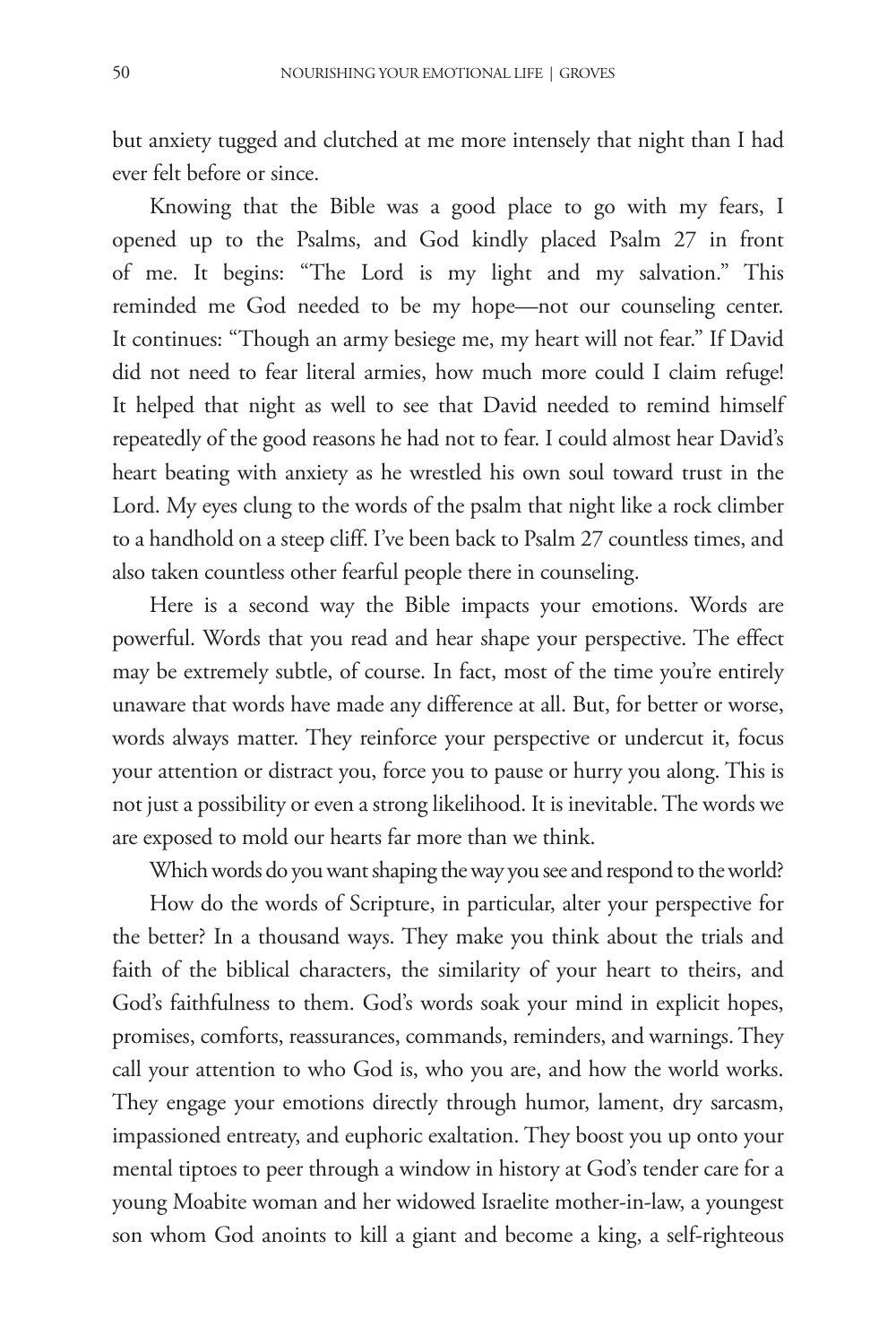but anxiety tugged and clutched at me more intensely that night than I had ever felt before or since.

Knowing that the Bible was a good place to go with my fears, I opened up to the Psalms, and God kindly placed Psalm 27 in front of me. It begins: "The Lord is my light and my salvation." This reminded me God needed to be my hope—not our counseling center. It continues: "Though an army besiege me, my heart will not fear." If David did not need to fear literal armies, how much more could I claim refuge! It helped that night as well to see that David needed to remind himself repeatedly of the good reasons he had not to fear. I could almost hear David's heart beating with anxiety as he wrestled his own soul toward trust in the Lord. My eyes clung to the words of the psalm that night like a rock climber to a handhold on a steep cliff. I've been back to Psalm 27 countless times, and also taken countless other fearful people there in counseling.

Here is a second way the Bible impacts your emotions. Words are powerful. Words that you read and hear shape your perspective. The effect may be extremely subtle, of course. In fact, most of the time you're entirely unaware that words have made any difference at all. But, for better or worse, words always matter. They reinforce your perspective or undercut it, focus your attention or distract you, force you to pause or hurry you along. This is not just a possibility or even a strong likelihood. It is inevitable. The words we are exposed to mold our hearts far more than we think.

Which words do you want shaping the way you see and respond to the world? How do the words of Scripture, in particular, alter your perspective for the better? In a thousand ways. They make you think about the trials and faith of the biblical characters, the similarity of your heart to theirs, and God's faithfulness to them. God's words soak your mind in explicit hopes, promises, comforts, reassurances, commands, reminders, and warnings. They call your attention to who God is, who you are, and how the world works. They engage your emotions directly through humor, lament, dry sarcasm, impassioned entreaty, and euphoric exaltation. They boost you up onto your mental tiptoes to peer through a window in history at God's tender care for a young Moabite woman and her widowed Israelite mother-in-law, a youngest son whom God anoints to kill a giant and become a king, a self-righteous